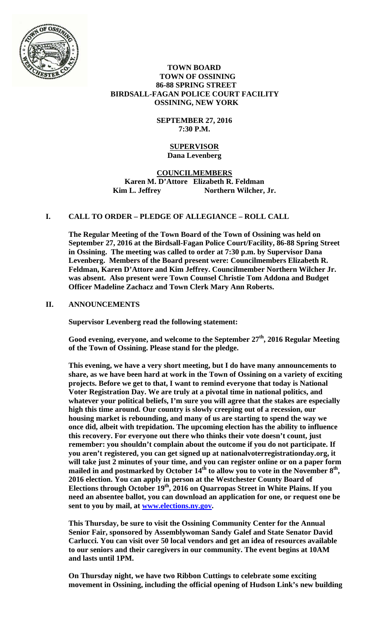

## **TOWN BOARD TOWN OF OSSINING 86-88 SPRING STREET BIRDSALL-FAGAN POLICE COURT FACILITY OSSINING, NEW YORK**

# **SEPTEMBER 27, 2016 7:30 P.M.**

### **SUPERVISOR Dana Levenberg**

# **COUNCILMEMBERS Karen M. D'Attore Elizabeth R. Feldman**  Kim L. Jeffrey **Northern Wilcher, Jr.**

# **I. CALL TO ORDER – PLEDGE OF ALLEGIANCE – ROLL CALL**

**The Regular Meeting of the Town Board of the Town of Ossining was held on September 27, 2016 at the Birdsall-Fagan Police Court/Facility, 86-88 Spring Street in Ossining. The meeting was called to order at 7:30 p.m. by Supervisor Dana Levenberg. Members of the Board present were: Councilmembers Elizabeth R. Feldman, Karen D'Attore and Kim Jeffrey. Councilmember Northern Wilcher Jr. was absent. Also present were Town Counsel Christie Tom Addona and Budget Officer Madeline Zachacz and Town Clerk Mary Ann Roberts.** 

## **II. ANNOUNCEMENTS**

**Supervisor Levenberg read the following statement:** 

**Good evening, everyone, and welcome to the September 27th, 2016 Regular Meeting of the Town of Ossining. Please stand for the pledge.** 

**This evening, we have a very short meeting, but I do have many announcements to share, as we have been hard at work in the Town of Ossining on a variety of exciting projects. Before we get to that, I want to remind everyone that today is National Voter Registration Day. We are truly at a pivotal time in national politics, and whatever your political beliefs, I'm sure you will agree that the stakes are especially high this time around. Our country is slowly creeping out of a recession, our housing market is rebounding, and many of us are starting to spend the way we once did, albeit with trepidation. The upcoming election has the ability to influence this recovery. For everyone out there who thinks their vote doesn't count, just remember: you shouldn't complain about the outcome if you do not participate. If you aren't registered, you can get signed up at nationalvoterregistrationday.org, it will take just 2 minutes of your time, and you can register online or on a paper form**  mailed in and postmarked by October 14<sup>th</sup> to allow you to vote in the November 8<sup>th</sup>, **2016 election. You can apply in person at the Westchester County Board of Elections through October 19th, 2016 on Quarropas Street in White Plains. If you need an absentee ballot, you can download an application for one, or request one be sent to you by mail, at www.elections.ny.gov.** 

**This Thursday, be sure to visit the Ossining Community Center for the Annual Senior Fair, sponsored by Assemblywoman Sandy Galef and State Senator David Carlucci. You can visit over 50 local vendors and get an idea of resources available to our seniors and their caregivers in our community. The event begins at 10AM and lasts until 1PM.** 

**On Thursday night, we have two Ribbon Cuttings to celebrate some exciting movement in Ossining, including the official opening of Hudson Link's new building**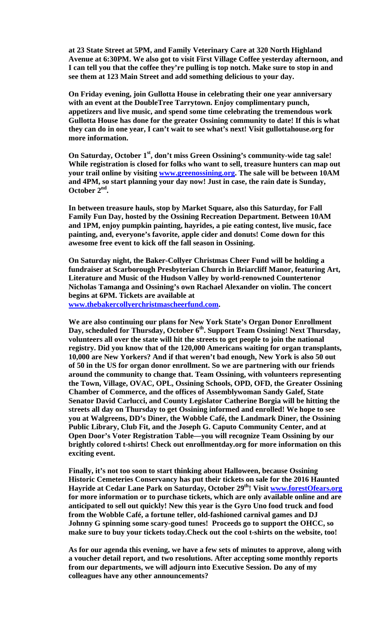**at 23 State Street at 5PM, and Family Veterinary Care at 320 North Highland Avenue at 6:30PM. We also got to visit First Village Coffee yesterday afternoon, and I can tell you that the coffee they're pulling is top notch. Make sure to stop in and see them at 123 Main Street and add something delicious to your day.** 

**On Friday evening, join Gullotta House in celebrating their one year anniversary with an event at the DoubleTree Tarrytown. Enjoy complimentary punch, appetizers and live music, and spend some time celebrating the tremendous work Gullotta House has done for the greater Ossining community to date! If this is what they can do in one year, I can't wait to see what's next! Visit gullottahouse.org for more information.** 

On Saturday, October 1<sup>st</sup>, don't miss Green Ossining's community-wide tag sale! **While registration is closed for folks who want to sell, treasure hunters can map out your trail online by visiting www.greenossining.org. The sale will be between 10AM and 4PM, so start planning your day now! Just in case, the rain date is Sunday, October 2nd.** 

**In between treasure hauls, stop by Market Square, also this Saturday, for Fall Family Fun Day, hosted by the Ossining Recreation Department. Between 10AM and 1PM, enjoy pumpkin painting, hayrides, a pie eating contest, live music, face painting, and, everyone's favorite, apple cider and donuts! Come down for this awesome free event to kick off the fall season in Ossining.** 

**On Saturday night, the Baker-Collyer Christmas Cheer Fund will be holding a fundraiser at Scarborough Presbyterian Church in Briarcliff Manor, featuring Art, Literature and Music of the Hudson Valley by world-renowned Countertenor Nicholas Tamanga and Ossining's own Rachael Alexander on violin. The concert begins at 6PM. Tickets are available at www.thebakercollyerchristmascheerfund.com.** 

**We are also continuing our plans for New York State's Organ Donor Enrollment**  Day, scheduled for Thursday, October 6<sup>th</sup>. Support Team Ossining! Next Thursday, **volunteers all over the state will hit the streets to get people to join the national registry. Did you know that of the 120,000 Americans waiting for organ transplants, 10,000 are New Yorkers? And if that weren't bad enough, New York is also 50 out of 50 in the US for organ donor enrollment. So we are partnering with our friends around the community to change that. Team Ossining, with volunteers representing the Town, Village, OVAC, OPL, Ossining Schools, OPD, OFD, the Greater Ossining Chamber of Commerce, and the offices of Assemblywoman Sandy Galef, State Senator David Carlucci, and County Legislator Catherine Borgia will be hitting the streets all day on Thursday to get Ossining informed and enrolled! We hope to see you at Walgreens, DD's Diner, the Wobble Café, the Landmark Diner, the Ossining Public Library, Club Fit, and the Joseph G. Caputo Community Center, and at Open Door's Voter Registration Table—you will recognize Team Ossining by our brightly colored t-shirts! Check out enrollmentday.org for more information on this exciting event.** 

**Finally, it's not too soon to start thinking about Halloween, because Ossining Historic Cemeteries Conservancy has put their tickets on sale for the 2016 Haunted Hayride at Cedar Lane Park on Saturday, October 29th! Visit www.forestOfears.org for more information or to purchase tickets, which are only available online and are anticipated to sell out quickly! New this year is the Gyro Uno food truck and food from the Wobble Café, a fortune teller, old-fashioned carnival games and DJ Johnny G spinning some scary-good tunes! Proceeds go to support the OHCC, so make sure to buy your tickets today.Check out the cool t-shirts on the website, too!** 

**As for our agenda this evening, we have a few sets of minutes to approve, along with a voucher detail report, and two resolutions. After accepting some monthly reports from our departments, we will adjourn into Executive Session. Do any of my colleagues have any other announcements?**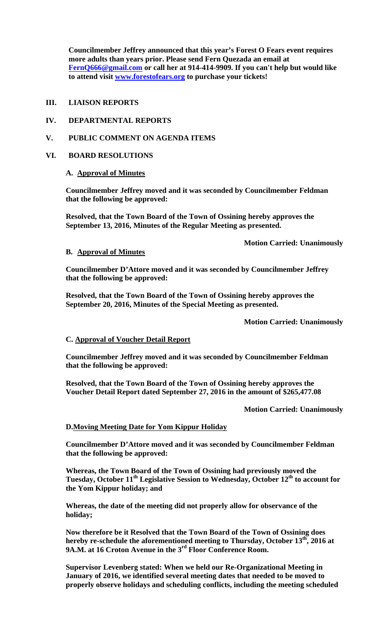**Councilmember Jeffrey announced that this year's Forest O Fears event requires more adults than years prior. Please send Fern Quezada an email at FernQ666@gmail.com or call her at 914-414-9909. If you can't help but would like to attend visit www.forestofears.org to purchase your tickets!** 

### **III. LIAISON REPORTS**

## **IV. DEPARTMENTAL REPORTS**

# **V. PUBLIC COMMENT ON AGENDA ITEMS**

## **VI. BOARD RESOLUTIONS**

# **A. Approval of Minutes**

**Councilmember Jeffrey moved and it was seconded by Councilmember Feldman that the following be approved:** 

**Resolved, that the Town Board of the Town of Ossining hereby approves the September 13, 2016, Minutes of the Regular Meeting as presented.** 

 **Motion Carried: Unanimously** 

#### **B. Approval of Minutes**

**Councilmember D'Attore moved and it was seconded by Councilmember Jeffrey that the following be approved:** 

**Resolved, that the Town Board of the Town of Ossining hereby approves the September 20, 2016, Minutes of the Special Meeting as presented.** 

 **Motion Carried: Unanimously** 

## **C. Approval of Voucher Detail Report**

**Councilmember Jeffrey moved and it was seconded by Councilmember Feldman that the following be approved:** 

**Resolved, that the Town Board of the Town of Ossining hereby approves the Voucher Detail Report dated September 27, 2016 in the amount of \$265,477.08** 

 **Motion Carried: Unanimously** 

### **D.Moving Meeting Date for Yom Kippur Holiday**

**Councilmember D'Attore moved and it was seconded by Councilmember Feldman that the following be approved:** 

**Whereas, the Town Board of the Town of Ossining had previously moved the**  Tuesday, October 11<sup>th</sup> Legislative Session to Wednesday, October 12<sup>th</sup> to account for **the Yom Kippur holiday; and** 

**Whereas, the date of the meeting did not properly allow for observance of the holiday;** 

**Now therefore be it Resolved that the Town Board of the Town of Ossining does hereby re-schedule the aforementioned meeting to Thursday, October 13th, 2016 at 9A.M. at 16 Croton Avenue in the 3rd Floor Conference Room.** 

**Supervisor Levenberg stated: When we held our Re-Organizational Meeting in January of 2016, we identified several meeting dates that needed to be moved to properly observe holidays and scheduling conflicts, including the meeting scheduled**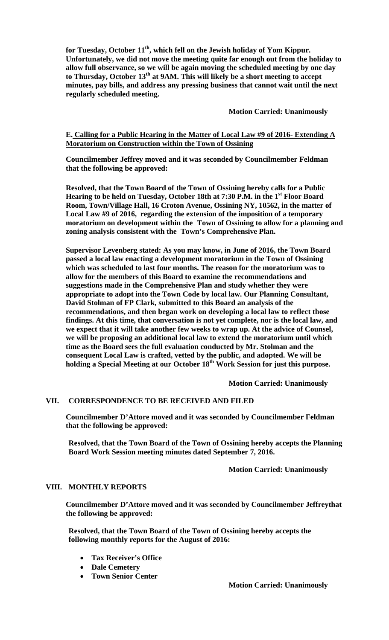for Tuesday, October 11<sup>th</sup>, which fell on the Jewish holiday of Yom Kippur. **Unfortunately, we did not move the meeting quite far enough out from the holiday to allow full observance, so we will be again moving the scheduled meeting by one day**  to Thursday, October 13<sup>th</sup> at 9AM. This will likely be a short meeting to accept **minutes, pay bills, and address any pressing business that cannot wait until the next regularly scheduled meeting.** 

 **Motion Carried: Unanimously** 

## **E. Calling for a Public Hearing in the Matter of Local Law #9 of 2016- Extending A Moratorium on Construction within the Town of Ossining**

**Councilmember Jeffrey moved and it was seconded by Councilmember Feldman that the following be approved:** 

**Resolved, that the Town Board of the Town of Ossining hereby calls for a Public**  Hearing to be held on Tuesday, October 18th at 7:30 P.M. in the 1<sup>st</sup> Floor Board **Room, Town/Village Hall, 16 Croton Avenue, Ossining NY, 10562, in the matter of Local Law #9 of 2016, regarding the extension of the imposition of a temporary moratorium on development within the Town of Ossining to allow for a planning and zoning analysis consistent with the Town's Comprehensive Plan.** 

**Supervisor Levenberg stated: As you may know, in June of 2016, the Town Board passed a local law enacting a development moratorium in the Town of Ossining which was scheduled to last four months. The reason for the moratorium was to allow for the members of this Board to examine the recommendations and suggestions made in the Comprehensive Plan and study whether they were appropriate to adopt into the Town Code by local law. Our Planning Consultant, David Stolman of FP Clark, submitted to this Board an analysis of the recommendations, and then began work on developing a local law to reflect those findings. At this time, that conversation is not yet complete, nor is the local law, and we expect that it will take another few weeks to wrap up. At the advice of Counsel, we will be proposing an additional local law to extend the moratorium until which time as the Board sees the full evaluation conducted by Mr. Stolman and the consequent Local Law is crafted, vetted by the public, and adopted. We will be**  holding a Special Meeting at our October 18<sup>th</sup> Work Session for just this purpose.

 **Motion Carried: Unanimously**

## **VII. CORRESPONDENCE TO BE RECEIVED AND FILED**

**Councilmember D'Attore moved and it was seconded by Councilmember Feldman that the following be approved:** 

**Resolved, that the Town Board of the Town of Ossining hereby accepts the Planning Board Work Session meeting minutes dated September 7, 2016.** 

 **Motion Carried: Unanimously** 

### **VIII. MONTHLY REPORTS**

**Councilmember D'Attore moved and it was seconded by Councilmember Jeffreythat the following be approved:** 

**Resolved, that the Town Board of the Town of Ossining hereby accepts the following monthly reports for the August of 2016:** 

- **Tax Receiver's Office**
- **Dale Cemetery**
- **Town Senior Center**

 **Motion Carried: Unanimously**